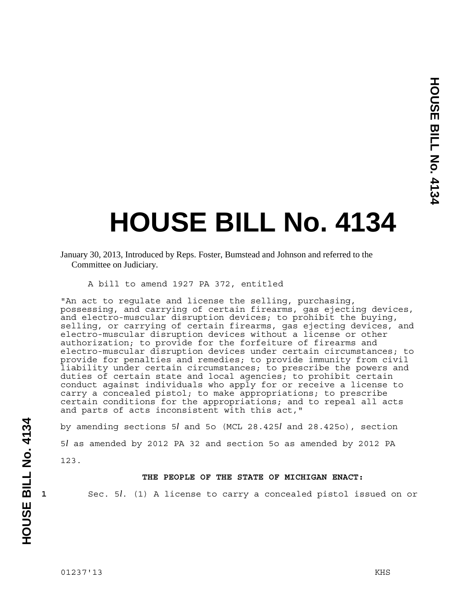# **HOUSE BILL No. 4134**

#### A bill to amend 1927 PA 372, entitled

"An act to regulate and license the selling, purchasing, possessing, and carrying of certain firearms, gas ejecting devices, and electro-muscular disruption devices; to prohibit the buying, selling, or carrying of certain firearms, gas ejecting devices, and electro-muscular disruption devices without a license or other authorization; to provide for the forfeiture of firearms and electro-muscular disruption devices under certain circumstances; to provide for penalties and remedies; to provide immunity from civil liability under certain circumstances; to prescribe the powers and duties of certain state and local agencies; to prohibit certain conduct against individuals who apply for or receive a license to carry a concealed pistol; to make appropriations; to prescribe certain conditions for the appropriations; and to repeal all acts and parts of acts inconsistent with this act,"

by amending sections 5*l* and 5o (MCL 28.425*l* and 28.425o), section 5*l* as amended by 2012 PA 32 and section 5o as amended by 2012 PA 123.

### **THE PEOPLE OF THE STATE OF MICHIGAN ENACT:**

**1** Sec. 5*l*. (1) A license to carry a concealed pistol issued on or

January 30, 2013, Introduced by Reps. Foster, Bumstead and Johnson and referred to the Committee on Judiciary.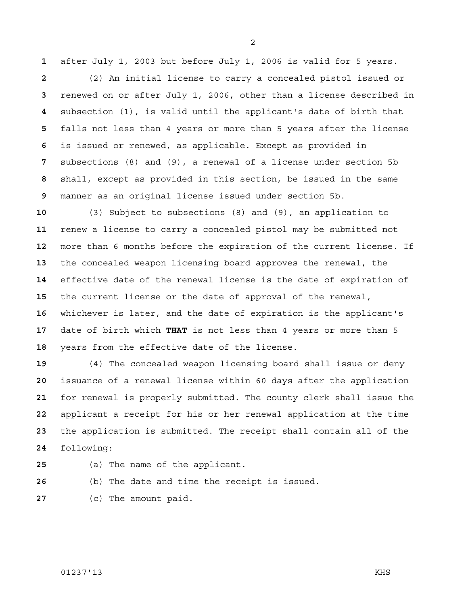after July 1, 2003 but before July 1, 2006 is valid for 5 years.

(2) An initial license to carry a concealed pistol issued or renewed on or after July 1, 2006, other than a license described in subsection (1), is valid until the applicant's date of birth that falls not less than 4 years or more than 5 years after the license is issued or renewed, as applicable. Except as provided in subsections (8) and (9), a renewal of a license under section 5b shall, except as provided in this section, be issued in the same manner as an original license issued under section 5b.

(3) Subject to subsections (8) and (9), an application to renew a license to carry a concealed pistol may be submitted not more than 6 months before the expiration of the current license. If the concealed weapon licensing board approves the renewal, the effective date of the renewal license is the date of expiration of the current license or the date of approval of the renewal, whichever is later, and the date of expiration is the applicant's date of birth which THAT is not less than 4 years or more than 5 years from the effective date of the license.

(4) The concealed weapon licensing board shall issue or deny issuance of a renewal license within 60 days after the application for renewal is properly submitted. The county clerk shall issue the applicant a receipt for his or her renewal application at the time the application is submitted. The receipt shall contain all of the following:

- (a) The name of the applicant.
	-
- (b) The date and time the receipt is issued.
- (c) The amount paid.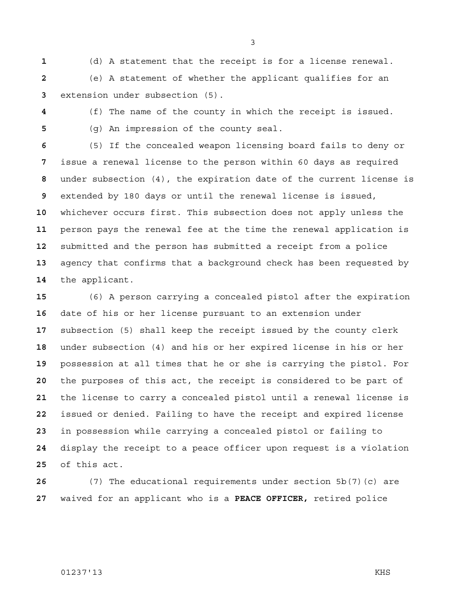(d) A statement that the receipt is for a license renewal.

(e) A statement of whether the applicant qualifies for an extension under subsection (5).

(f) The name of the county in which the receipt is issued. (g) An impression of the county seal.

(5) If the concealed weapon licensing board fails to deny or issue a renewal license to the person within 60 days as required under subsection (4), the expiration date of the current license is extended by 180 days or until the renewal license is issued, whichever occurs first. This subsection does not apply unless the person pays the renewal fee at the time the renewal application is submitted and the person has submitted a receipt from a police agency that confirms that a background check has been requested by the applicant.

(6) A person carrying a concealed pistol after the expiration date of his or her license pursuant to an extension under subsection (5) shall keep the receipt issued by the county clerk under subsection (4) and his or her expired license in his or her possession at all times that he or she is carrying the pistol. For the purposes of this act, the receipt is considered to be part of the license to carry a concealed pistol until a renewal license is issued or denied. Failing to have the receipt and expired license in possession while carrying a concealed pistol or failing to display the receipt to a peace officer upon request is a violation of this act.

(7) The educational requirements under section 5b(7)(c) are waived for an applicant who is a **PEACE OFFICER,** retired police

#### 01237'13 KHS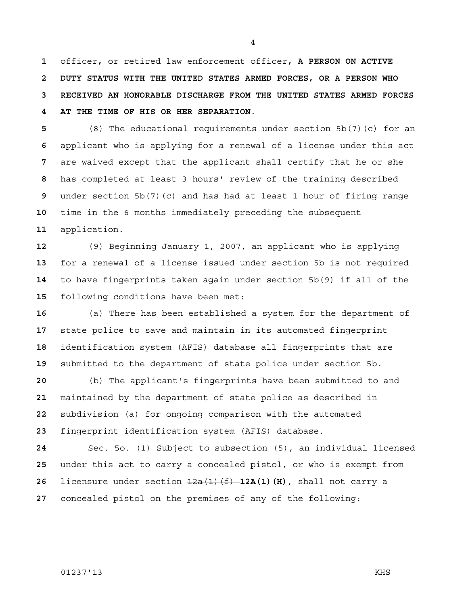officer**,** or retired law enforcement officer**, A PERSON ON ACTIVE 2 DUTY STATUS WITH THE UNITED STATES ARMED FORCES, OR A PERSON WHO 3 RECEIVED AN HONORABLE DISCHARGE FROM THE UNITED STATES ARMED FORCES 4 AT THE TIME OF HIS OR HER SEPARATION**.

(8) The educational requirements under section 5b(7)(c) for an applicant who is applying for a renewal of a license under this act are waived except that the applicant shall certify that he or she has completed at least 3 hours' review of the training described under section 5b(7)(c) and has had at least 1 hour of firing range time in the 6 months immediately preceding the subsequent application.

(9) Beginning January 1, 2007, an applicant who is applying for a renewal of a license issued under section 5b is not required to have fingerprints taken again under section 5b(9) if all of the following conditions have been met:

(a) There has been established a system for the department of state police to save and maintain in its automated fingerprint identification system (AFIS) database all fingerprints that are submitted to the department of state police under section 5b.

(b) The applicant's fingerprints have been submitted to and maintained by the department of state police as described in subdivision (a) for ongoing comparison with the automated fingerprint identification system (AFIS) database.

Sec. 5o. (1) Subject to subsection (5), an individual licensed under this act to carry a concealed pistol, or who is exempt from licensure under section 12a(1)(f) **12A(1)(H)**, shall not carry a concealed pistol on the premises of any of the following: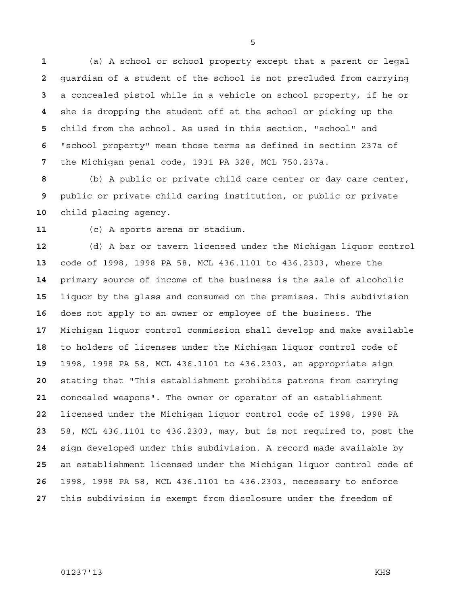(a) A school or school property except that a parent or legal guardian of a student of the school is not precluded from carrying a concealed pistol while in a vehicle on school property, if he or she is dropping the student off at the school or picking up the child from the school. As used in this section, "school" and "school property" mean those terms as defined in section 237a of the Michigan penal code, 1931 PA 328, MCL 750.237a.

(b) A public or private child care center or day care center, public or private child caring institution, or public or private child placing agency.

(c) A sports arena or stadium.

(d) A bar or tavern licensed under the Michigan liquor control code of 1998, 1998 PA 58, MCL 436.1101 to 436.2303, where the primary source of income of the business is the sale of alcoholic liquor by the glass and consumed on the premises. This subdivision does not apply to an owner or employee of the business. The Michigan liquor control commission shall develop and make available to holders of licenses under the Michigan liquor control code of 1998, 1998 PA 58, MCL 436.1101 to 436.2303, an appropriate sign stating that "This establishment prohibits patrons from carrying concealed weapons". The owner or operator of an establishment licensed under the Michigan liquor control code of 1998, 1998 PA 58, MCL 436.1101 to 436.2303, may, but is not required to, post the sign developed under this subdivision. A record made available by an establishment licensed under the Michigan liquor control code of 1998, 1998 PA 58, MCL 436.1101 to 436.2303, necessary to enforce this subdivision is exempt from disclosure under the freedom of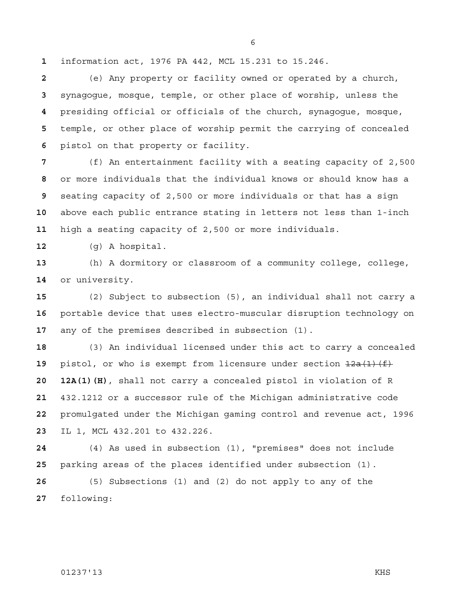information act, 1976 PA 442, MCL 15.231 to 15.246.

(e) Any property or facility owned or operated by a church, synagogue, mosque, temple, or other place of worship, unless the presiding official or officials of the church, synagogue, mosque, temple, or other place of worship permit the carrying of concealed pistol on that property or facility.

(f) An entertainment facility with a seating capacity of 2,500 or more individuals that the individual knows or should know has a seating capacity of 2,500 or more individuals or that has a sign above each public entrance stating in letters not less than 1-inch high a seating capacity of 2,500 or more individuals.

(g) A hospital.

(h) A dormitory or classroom of a community college, college, or university.

(2) Subject to subsection (5), an individual shall not carry a portable device that uses electro-muscular disruption technology on any of the premises described in subsection (1).

(3) An individual licensed under this act to carry a concealed pistol, or who is exempt from licensure under section  $\frac{12a(1)(f)}{f}$ **20 12A(1)(H)**, shall not carry a concealed pistol in violation of R 432.1212 or a successor rule of the Michigan administrative code promulgated under the Michigan gaming control and revenue act, 1996 IL 1, MCL 432.201 to 432.226.

(4) As used in subsection (1), "premises" does not include parking areas of the places identified under subsection (1).

(5) Subsections (1) and (2) do not apply to any of the following: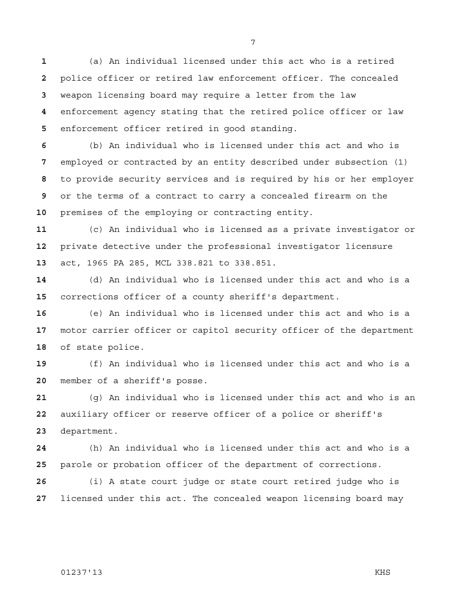(a) An individual licensed under this act who is a retired police officer or retired law enforcement officer. The concealed weapon licensing board may require a letter from the law enforcement agency stating that the retired police officer or law enforcement officer retired in good standing.

(b) An individual who is licensed under this act and who is employed or contracted by an entity described under subsection (1) to provide security services and is required by his or her employer or the terms of a contract to carry a concealed firearm on the premises of the employing or contracting entity.

(c) An individual who is licensed as a private investigator or private detective under the professional investigator licensure act, 1965 PA 285, MCL 338.821 to 338.851.

(d) An individual who is licensed under this act and who is a corrections officer of a county sheriff's department.

(e) An individual who is licensed under this act and who is a motor carrier officer or capitol security officer of the department of state police.

(f) An individual who is licensed under this act and who is a member of a sheriff's posse.

(g) An individual who is licensed under this act and who is an auxiliary officer or reserve officer of a police or sheriff's department.

(h) An individual who is licensed under this act and who is a parole or probation officer of the department of corrections.

(i) A state court judge or state court retired judge who is licensed under this act. The concealed weapon licensing board may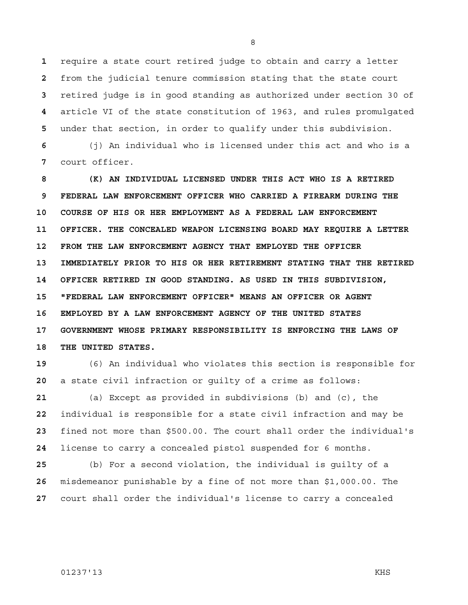require a state court retired judge to obtain and carry a letter from the judicial tenure commission stating that the state court retired judge is in good standing as authorized under section 30 of article VI of the state constitution of 1963, and rules promulgated under that section, in order to qualify under this subdivision.

**6** (j) An individual who is licensed under this act and who is a **7** court officer.

**8 (K) AN INDIVIDUAL LICENSED UNDER THIS ACT WHO IS A RETIRED 9 FEDERAL LAW ENFORCEMENT OFFICER WHO CARRIED A FIREARM DURING THE 10 COURSE OF HIS OR HER EMPLOYMENT AS A FEDERAL LAW ENFORCEMENT 11 OFFICER. THE CONCEALED WEAPON LICENSING BOARD MAY REQUIRE A LETTER 12 FROM THE LAW ENFORCEMENT AGENCY THAT EMPLOYED THE OFFICER 13 IMMEDIATELY PRIOR TO HIS OR HER RETIREMENT STATING THAT THE RETIRED 14 OFFICER RETIRED IN GOOD STANDING. AS USED IN THIS SUBDIVISION, 15 "FEDERAL LAW ENFORCEMENT OFFICER" MEANS AN OFFICER OR AGENT 16 EMPLOYED BY A LAW ENFORCEMENT AGENCY OF THE UNITED STATES 17 GOVERNMENT WHOSE PRIMARY RESPONSIBILITY IS ENFORCING THE LAWS OF 18 THE UNITED STATES.** 

**19** (6) An individual who violates this section is responsible for **20** a state civil infraction or guilty of a crime as follows:

(a) Except as provided in subdivisions (b) and (c), the individual is responsible for a state civil infraction and may be fined not more than \$500.00. The court shall order the individual's license to carry a concealed pistol suspended for 6 months.

**25** (b) For a second violation, the individual is guilty of a **26** misdemeanor punishable by a fine of not more than \$1,000.00. The **27** court shall order the individual's license to carry a concealed

## 01237'13 KHS